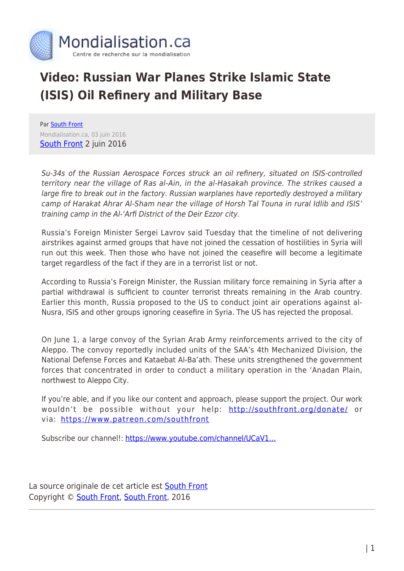

## **Video: Russian War Planes Strike Islamic State (ISIS) Oil Refinery and Military Base**

Par [South Front](https://www.mondialisation.ca/author/southfront) Mondialisation.ca, 03 juin 2016 [South Front](https://southfront.org/international-military-review-syria-june-2-2016/) 2 juin 2016

Su-34s of the Russian Aerospace Forces struck an oil refinery, situated on ISIS-controlled territory near the village of Ras al-Ain, in the al-Hasakah province. The strikes caused a large fire to break out in the factory. Russian warplanes have reportedly destroyed a military camp of Harakat Ahrar Al-Sham near the village of Horsh Tal Touna in rural Idlib and ISIS' training camp in the Al-'Arfi District of the Deir Ezzor city.

Russia's Foreign Minister Sergei Lavrov said Tuesday that the timeline of not delivering airstrikes against armed groups that have not joined the cessation of hostilities in Syria will run out this week. Then those who have not joined the ceasefire will become a legitimate target regardless of the fact if they are in a terrorist list or not.

According to Russia's Foreign Minister, the Russian military force remaining in Syria after a partial withdrawal is sufficient to counter terrorist threats remaining in the Arab country. Earlier this month, Russia proposed to the US to conduct joint air operations against al-Nusra, ISIS and other groups ignoring ceasefire in Syria. The US has rejected the proposal.

On June 1, a large convoy of the Syrian Arab Army reinforcements arrived to the city of Aleppo. The convoy reportedly included units of the SAA's 4th Mechanized Division, the National Defense Forces and Kataebat Al-Ba'ath. These units strengthened the government forces that concentrated in order to conduct a military operation in the 'Anadan Plain, northwest to Aleppo City.

If you're able, and if you like our content and approach, please support the project. Our work wouldn't be possible without your help:<http://southfront.org/donate/> or via:<https://www.patreon.com/southfront>

Subscribe our channel!: https://www.youtube.com/channel/UCaV1...

La source originale de cet article est [South Front](https://southfront.org/international-military-review-syria-june-2-2016/) Copyright © [South Front](https://www.mondialisation.ca/author/southfront), [South Front](https://southfront.org/international-military-review-syria-june-2-2016/), 2016